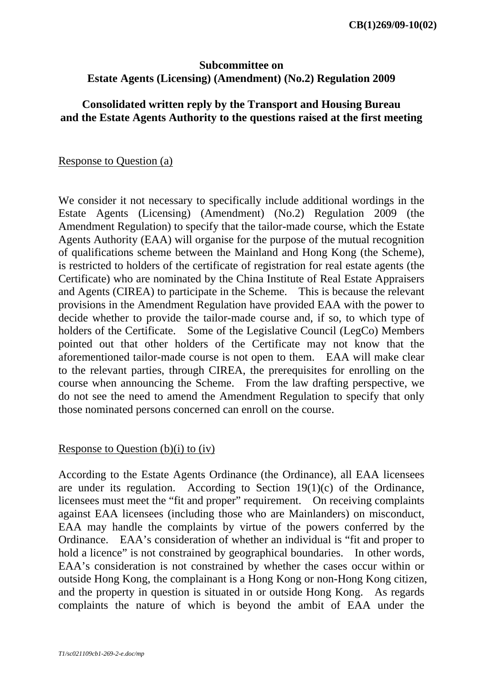# **Subcommittee on Estate Agents (Licensing) (Amendment) (No.2) Regulation 2009**

### **Consolidated written reply by the Transport and Housing Bureau and the Estate Agents Authority to the questions raised at the first meeting**

Response to Question (a)

We consider it not necessary to specifically include additional wordings in the Estate Agents (Licensing) (Amendment) (No.2) Regulation 2009 (the Amendment Regulation) to specify that the tailor-made course, which the Estate Agents Authority (EAA) will organise for the purpose of the mutual recognition of qualifications scheme between the Mainland and Hong Kong (the Scheme), is restricted to holders of the certificate of registration for real estate agents (the Certificate) who are nominated by the China Institute of Real Estate Appraisers and Agents (CIREA) to participate in the Scheme. This is because the relevant provisions in the Amendment Regulation have provided EAA with the power to decide whether to provide the tailor-made course and, if so, to which type of holders of the Certificate. Some of the Legislative Council (LegCo) Members pointed out that other holders of the Certificate may not know that the aforementioned tailor-made course is not open to them. EAA will make clear to the relevant parties, through CIREA, the prerequisites for enrolling on the course when announcing the Scheme. From the law drafting perspective, we do not see the need to amend the Amendment Regulation to specify that only those nominated persons concerned can enroll on the course.

#### Response to Question  $(b)(i)$  to  $(iv)$

According to the Estate Agents Ordinance (the Ordinance), all EAA licensees are under its regulation. According to Section 19(1)(c) of the Ordinance, licensees must meet the "fit and proper" requirement. On receiving complaints against EAA licensees (including those who are Mainlanders) on misconduct, EAA may handle the complaints by virtue of the powers conferred by the Ordinance. EAA's consideration of whether an individual is "fit and proper to hold a licence" is not constrained by geographical boundaries. In other words, EAA's consideration is not constrained by whether the cases occur within or outside Hong Kong, the complainant is a Hong Kong or non-Hong Kong citizen, and the property in question is situated in or outside Hong Kong. As regards complaints the nature of which is beyond the ambit of EAA under the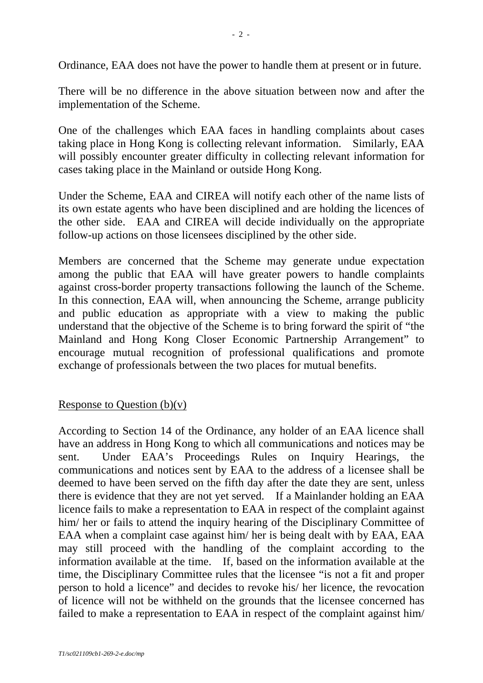Ordinance, EAA does not have the power to handle them at present or in future.

There will be no difference in the above situation between now and after the implementation of the Scheme.

One of the challenges which EAA faces in handling complaints about cases taking place in Hong Kong is collecting relevant information. Similarly, EAA will possibly encounter greater difficulty in collecting relevant information for cases taking place in the Mainland or outside Hong Kong.

Under the Scheme, EAA and CIREA will notify each other of the name lists of its own estate agents who have been disciplined and are holding the licences of the other side. EAA and CIREA will decide individually on the appropriate follow-up actions on those licensees disciplined by the other side.

Members are concerned that the Scheme may generate undue expectation among the public that EAA will have greater powers to handle complaints against cross-border property transactions following the launch of the Scheme. In this connection, EAA will, when announcing the Scheme, arrange publicity and public education as appropriate with a view to making the public understand that the objective of the Scheme is to bring forward the spirit of "the Mainland and Hong Kong Closer Economic Partnership Arrangement" to encourage mutual recognition of professional qualifications and promote exchange of professionals between the two places for mutual benefits.

# Response to Ouestion  $(b)(v)$

According to Section 14 of the Ordinance, any holder of an EAA licence shall have an address in Hong Kong to which all communications and notices may be sent. Under EAA's Proceedings Rules on Inquiry Hearings, the communications and notices sent by EAA to the address of a licensee shall be deemed to have been served on the fifth day after the date they are sent, unless there is evidence that they are not yet served. If a Mainlander holding an EAA licence fails to make a representation to EAA in respect of the complaint against him/ her or fails to attend the inquiry hearing of the Disciplinary Committee of EAA when a complaint case against him/ her is being dealt with by EAA, EAA may still proceed with the handling of the complaint according to the information available at the time. If, based on the information available at the time, the Disciplinary Committee rules that the licensee "is not a fit and proper person to hold a licence" and decides to revoke his/ her licence, the revocation of licence will not be withheld on the grounds that the licensee concerned has failed to make a representation to EAA in respect of the complaint against him/